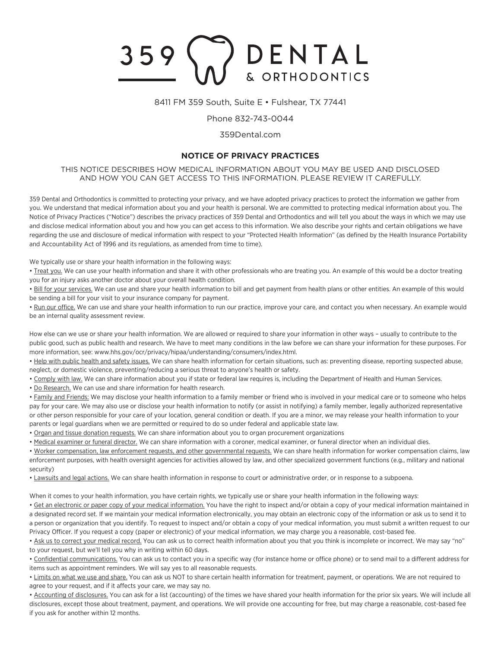# DENTAL 359 & ORTHODONTICS

#### 8411 FM 359 South, Suite E • Fulshear, TX 77441

### Phone 832-743-0044

### 359Dental.com

## **NOTICE OF PRIVACY PRACTICES**

### THIS NOTICE DESCRIBES HOW MEDICAL INFORMATION ABOUT YOU MAY BE USED AND DISCLOSED AND HOW YOU CAN GET ACCESS TO THIS INFORMATION. PLEASE REVIEW IT CAREFULLY.

359 Dental and Orthodontics is committed to protecting your privacy, and we have adopted privacy practices to protect the information we gather from you. We understand that medical information about you and your health is personal. We are committed to protecting medical information about you. The Notice of Privacy Practices ("Notice") describes the privacy practices of 359 Dental and Orthodontics and will tell you about the ways in which we may use and disclose medical information about you and how you can get access to this information. We also describe your rights and certain obligations we have regarding the use and disclosure of medical information with respect to your "Protected Health Information" (as defined by the Health Insurance Portability and Accountability Act of 1996 and its regulations, as amended from time to time).

We typically use or share your health information in the following ways:

• Treat you. We can use your health information and share it with other professionals who are treating you. An example of this would be a doctor treating you for an injury asks another doctor about your overall health condition.

• Bill for your services. We can use and share your health information to bill and get payment from health plans or other entities. An example of this would be sending a bill for your visit to your insurance company for payment.

• Run our office. We can use and share your health information to run our practice, improve your care, and contact you when necessary. An example would be an internal quality assessment review.

How else can we use or share your health information. We are allowed or required to share your information in other ways – usually to contribute to the public good, such as public health and research. We have to meet many conditions in the law before we can share your information for these purposes. For more information, see: www.hhs.gov/ocr/privacy/hipaa/understanding/consumers/index.html.

• Help with public health and safety issues. We can share health information for certain situations, such as: preventing disease, reporting suspected abuse, neglect, or domestic violence, preventing/reducing a serious threat to anyone's health or safety.

. Comply with law. We can share information about you if state or federal law requires is, including the Department of Health and Human Services.

• Do Research. We can use and share information for health research.

• Family and Friends: We may disclose your health information to a family member or friend who is involved in your medical care or to someone who helps pay for your care. We may also use or disclose your health information to notify (or assist in notifying) a family member, legally authorized representative or other person responsible for your care of your location, general condition or death. If you are a minor, we may release your health information to your parents or legal guardians when we are permitted or required to do so under federal and applicable state law.

• Organ and tissue donation requests. We can share information about you to organ procurement organizations

• Medical examiner or funeral director. We can share information with a coroner, medical examiner, or funeral director when an individual dies.

• Worker compensation, law enforcement requests, and other governmental requests. We can share health information for worker compensation claims, law enforcement purposes, with health oversight agencies for activities allowed by law, and other specialized government functions (e.g., military and national security)

• Lawsuits and legal actions. We can share health information in response to court or administrative order, or in response to a subpoena.

When it comes to your health information, you have certain rights, we typically use or share your health information in the following ways:

• Get an electronic or paper copy of your medical information. You have the right to inspect and/or obtain a copy of your medical information maintained in a designated record set. If we maintain your medical information electronically, you may obtain an electronic copy of the information or ask us to send it to a person or organization that you identify. To request to inspect and/or obtain a copy of your medical information, you must submit a written request to our Privacy Officer. If you request a copy (paper or electronic) of your medical information, we may charge you a reasonable, cost-based fee.

• Ask us to correct your medical record. You can ask us to correct health information about you that you think is incomplete or incorrect. We may say "no" to your request, but we'll tell you why in writing within 60 days.

• Confidential communications. You can ask us to contact you in a specific way (for instance home or office phone) or to send mail to a different address for items such as appointment reminders. We will say yes to all reasonable requests.

• Limits on what we use and share. You can ask us NOT to share certain health information for treatment, payment, or operations. We are not required to agree to your request, and if it affects your care, we may say no.

• Accounting of disclosures. You can ask for a list (accounting) of the times we have shared your health information for the prior six years. We will include all disclosures, except those about treatment, payment, and operations. We will provide one accounting for free, but may charge a reasonable, cost-based fee if you ask for another within 12 months.